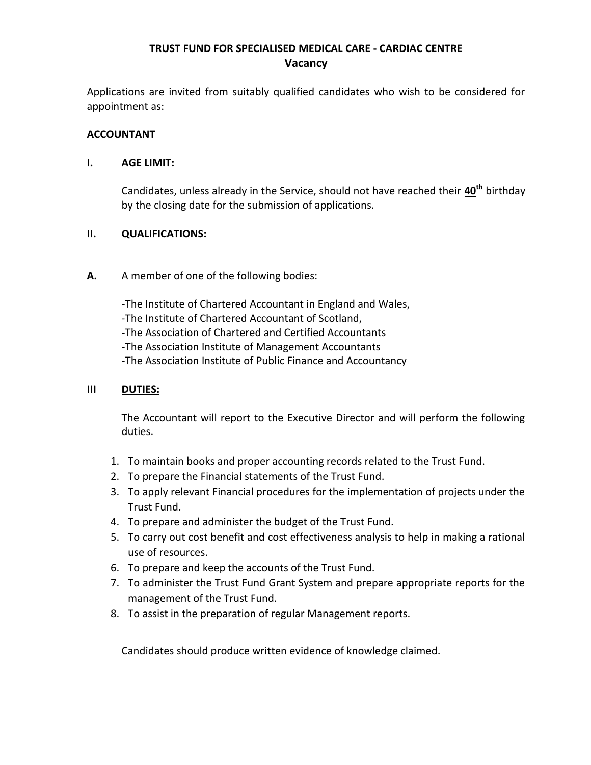# **TRUST FUND FOR SPECIALISED MEDICAL CARE - CARDIAC CENTRE Vacancy**

Applications are invited from suitably qualified candidates who wish to be considered for appointment as:

#### **ACCOUNTANT**

### **I. AGE LIMIT:**

Candidates, unless already in the Service, should not have reached their **40th** birthday by the closing date for the submission of applications.

### **II. QUALIFICATIONS:**

**A.** A member of one of the following bodies:

-The Institute of Chartered Accountant in England and Wales, -The Institute of Chartered Accountant of Scotland, -The Association of Chartered and Certified Accountants -The Association Institute of Management Accountants -The Association Institute of Public Finance and Accountancy

## **III DUTIES:**

The Accountant will report to the Executive Director and will perform the following duties.

- 1. To maintain books and proper accounting records related to the Trust Fund.
- 2. To prepare the Financial statements of the Trust Fund.
- 3. To apply relevant Financial procedures for the implementation of projects under the Trust Fund.
- 4. To prepare and administer the budget of the Trust Fund.
- 5. To carry out cost benefit and cost effectiveness analysis to help in making a rational use of resources.
- 6. To prepare and keep the accounts of the Trust Fund.
- 7. To administer the Trust Fund Grant System and prepare appropriate reports for the management of the Trust Fund.
- 8. To assist in the preparation of regular Management reports.

Candidates should produce written evidence of knowledge claimed.